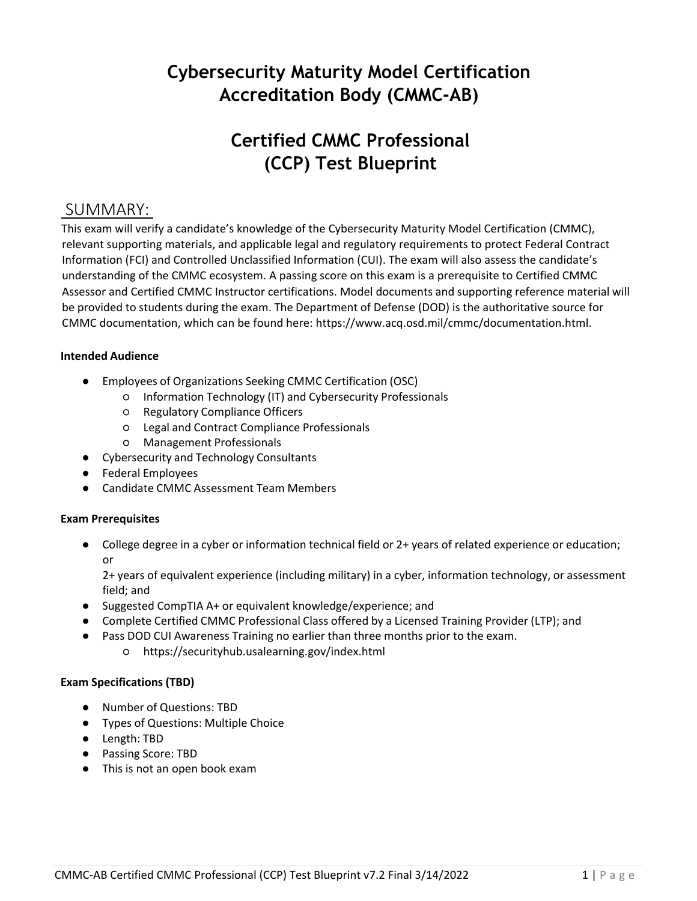# **Cybersecurity Maturity Model Certification Accreditation Body (CMMC-AB)**

# **Certified CMMC Professional (CCP) Test Blueprint**

### SUMMARY:

This exam will verify a candidate's knowledge of the Cybersecurity Maturity Model Certification (CMMC), relevant supporting materials, and applicable legal and regulatory requirements to protect Federal Contract Information (FCI) and Controlled Unclassified Information (CUI). The exam will also assess the candidate's understanding of the CMMC ecosystem. A passing score on this exam is a prerequisite to Certified CMMC Assessor and Certified CMMC Instructor certifications. Model documents and supporting reference material will be provided to students during the exam. The Department of Defense (DOD) is the authoritative source for CMMC documentation, which can be found here: [https://www.acq.osd.mil/cmmc/documentation.html.](https://www.acq.osd.mil/cmmc/documentation.html)

#### **Intended Audience**

- Employees of Organizations Seeking CMMC Certification (OSC)
	- Information Technology (IT) and Cybersecurity Professionals
	- Regulatory Compliance Officers
	- Legal and Contract Compliance Professionals
	- Management Professionals
- Cybersecurity and Technology Consultants
- Federal Employees
- Candidate CMMC Assessment Team Members

#### **Exam Prerequisites**

● College degree in a cyber or information technical field or 2+ years of related experience or education; or

2+ years of equivalent experience (including military) in a cyber, information technology, or assessment field; and

- Suggested CompTIA A+ or equivalent knowledge/experience; and
- Complete Certified CMMC Professional Class offered by a Licensed Training Provider (LTP); and
- Pass DOD CUI Awareness Training no earlier than three months prior to the exam.
	- https://securityhub.usalearning.gov/index.html

#### **Exam Specifications (TBD)**

- Number of Questions: TBD
- Types of Questions: Multiple Choice
- Length: TBD
- Passing Score: TBD
- This is not an open book exam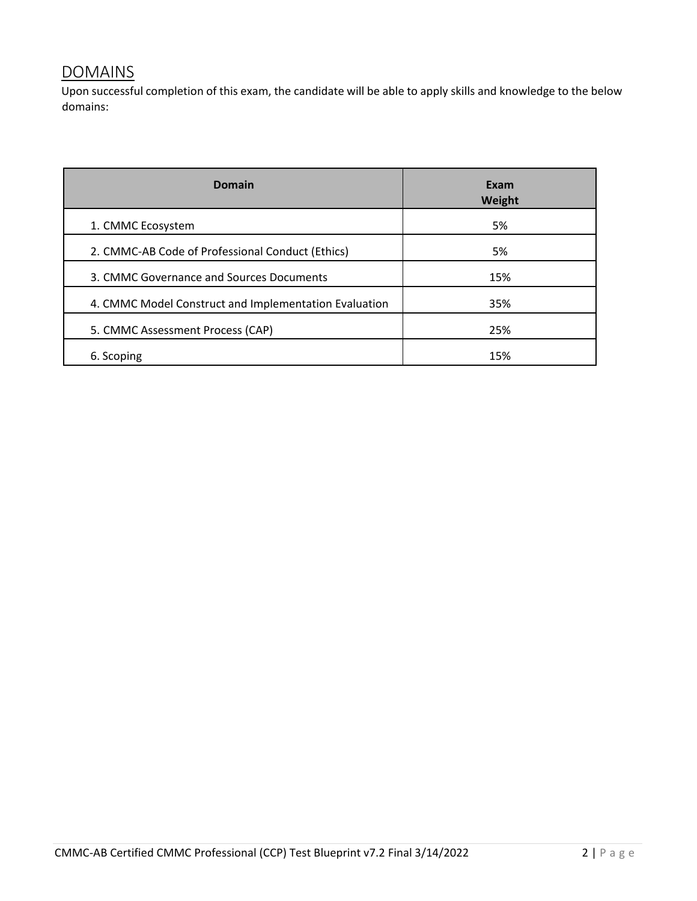## **DOMAINS**

Upon successful completion of this exam, the candidate will be able to apply skills and knowledge to the below domains:

| <b>Domain</b>                                         | Exam<br>Weight |
|-------------------------------------------------------|----------------|
| 1. CMMC Ecosystem                                     | 5%             |
| 2. CMMC-AB Code of Professional Conduct (Ethics)      | 5%             |
| 3. CMMC Governance and Sources Documents              | 15%            |
| 4. CMMC Model Construct and Implementation Evaluation | 35%            |
| 5. CMMC Assessment Process (CAP)                      | 25%            |
| 6. Scoping                                            | 15%            |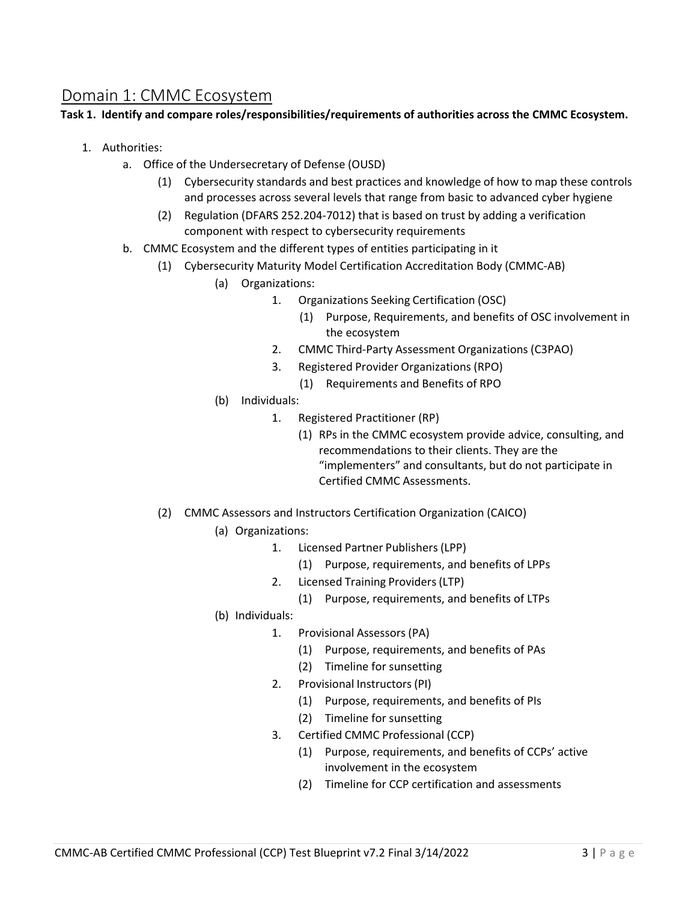### Domain 1: CMMC Ecosystem

#### **Task 1. Identify and compare roles/responsibilities/requirements of authorities across the CMMC Ecosystem.**

- 1. Authorities:
	- a. Office of the Undersecretary of Defense (OUSD)
		- (1) Cybersecurity standards and best practices and knowledge of how to map these controls and processes across several levels that range from basic to advanced cyber hygiene
		- (2) Regulation (DFARS 252.204-7012) that is based on trust by adding a verification component with respect to cybersecurity requirements
	- b. CMMC Ecosystem and the different types of entities participating in it
		- (1) Cybersecurity Maturity Model Certification Accreditation Body (CMMC-AB)
			- (a) Organizations:
				- 1. Organizations Seeking Certification (OSC)
					- (1) Purpose, Requirements, and benefits of OSC involvement in the ecosystem
				- 2. CMMC Third-Party Assessment Organizations (C3PAO)
				- 3. Registered Provider Organizations (RPO)
					- (1) Requirements and Benefits of RPO
			- (b) Individuals:
				- 1. Registered Practitioner (RP)
					- (1) RPs in the CMMC ecosystem provide advice, consulting, and recommendations to their clients. They are the "implementers" and consultants, but do not participate in Certified CMMC Assessments.
		- (2) CMMC Assessors and Instructors Certification Organization (CAICO)

#### (a) Organizations:

- 1. Licensed Partner Publishers (LPP)
	- (1) Purpose, requirements, and benefits of LPPs
- 2. Licensed Training Providers (LTP)
	- (1) Purpose, requirements, and benefits of LTPs
- (b) Individuals:
	- 1. Provisional Assessors (PA)
		- (1) Purpose, requirements, and benefits of PAs
		- (2) Timeline for sunsetting
	- 2. Provisional Instructors (PI)
		- (1) Purpose, requirements, and benefits of PIs
		- (2) Timeline for sunsetting
	- 3. Certified CMMC Professional (CCP)
		- (1) Purpose, requirements, and benefits of CCPs' active involvement in the ecosystem
		- (2) Timeline for CCP certification and assessments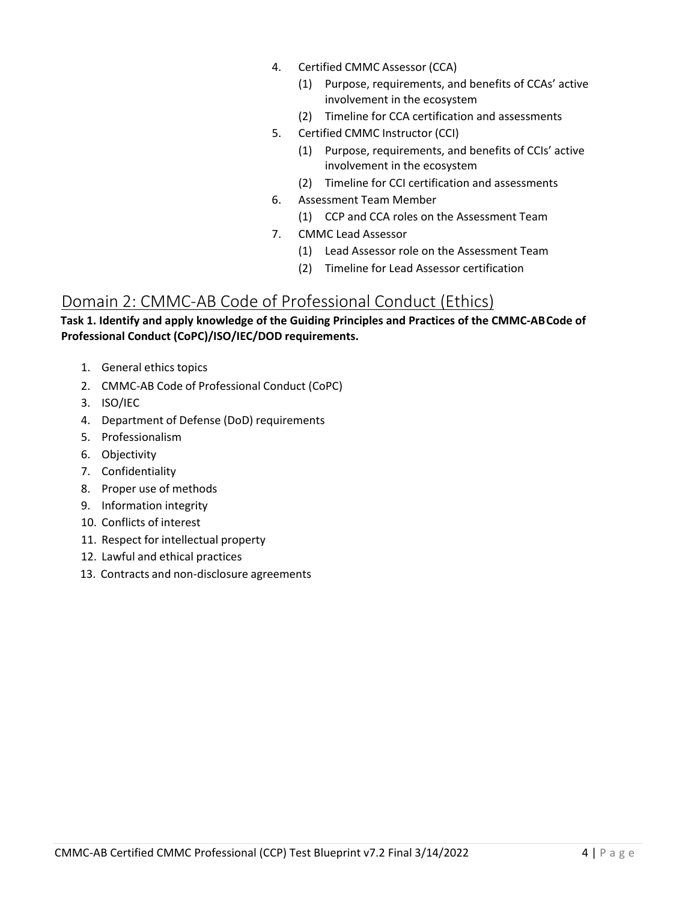- 4. Certified CMMC Assessor (CCA)
	- (1) Purpose, requirements, and benefits of CCAs' active involvement in the ecosystem
	- (2) Timeline for CCA certification and assessments
- 5. Certified CMMC Instructor (CCI)
	- (1) Purpose, requirements, and benefits of CCIs' active involvement in the ecosystem
	- (2) Timeline for CCI certification and assessments
- 6. Assessment Team Member
	- (1) CCP and CCA roles on the Assessment Team
- 7. CMMC Lead Assessor
	- (1) Lead Assessor role on the Assessment Team
	- (2) Timeline for Lead Assessor certification

### Domain 2: CMMC-AB Code of Professional Conduct (Ethics)

#### **Task 1. Identify and apply knowledge of the Guiding Principles and Practices of the CMMC-AB Code of Professional Conduct (CoPC)/ISO/IEC/DOD requirements.**

- 1. General ethics topics
- 2. CMMC-AB Code of Professional Conduct (CoPC)
- 3. ISO/IEC
- 4. Department of Defense (DoD) requirements
- 5. Professionalism
- 6. Objectivity
- 7. Confidentiality
- 8. Proper use of methods
- 9. Information integrity
- 10. Conflicts of interest
- 11. Respect for intellectual property
- 12. Lawful and ethical practices
- 13. Contracts and non-disclosure agreements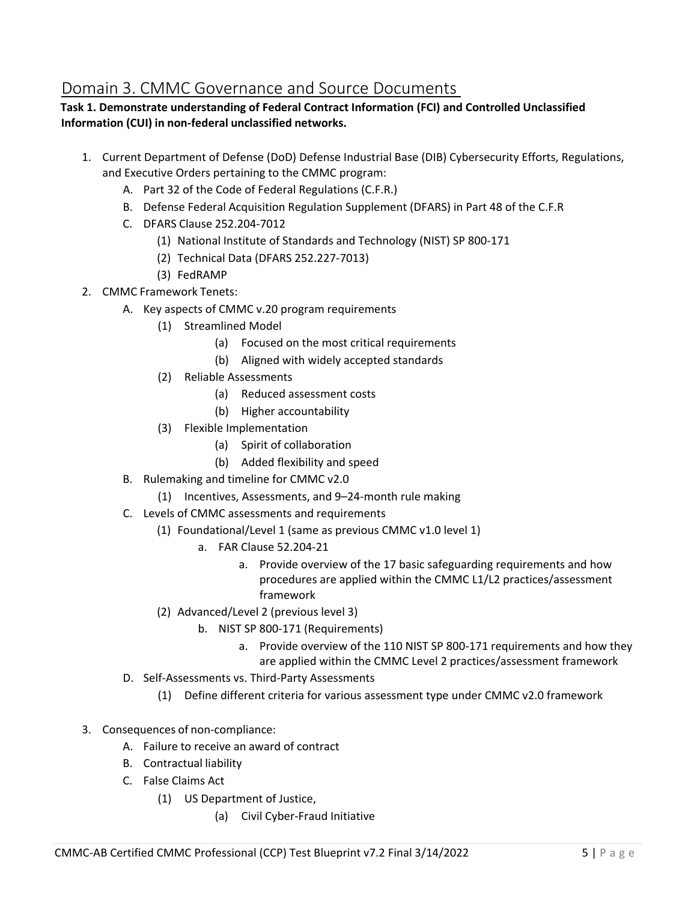# Domain 3. CMMC Governance and Source Documents

#### **Task 1. Demonstrate understanding of Federal Contract Information (FCI) and Controlled Unclassified Information (CUI) in non-federal unclassified networks.**

- 1. Current Department of Defense (DoD) Defense Industrial Base (DIB) Cybersecurity Efforts, Regulations, and Executive Orders pertaining to the CMMC program:
	- A. Part 32 of the Code of Federal Regulations (C.F.R.)
	- B. Defense Federal Acquisition Regulation Supplement (DFARS) in Part 48 of the C.F.R
	- C. DFARS Clause 252.204-7012
		- (1) National Institute of Standards and Technology (NIST) SP 800-171
		- (2) Technical Data (DFARS 252.227-7013)
		- (3) FedRAMP
- 2. CMMC Framework Tenets:
	- A. Key aspects of CMMC v.20 program requirements
		- (1) Streamlined Model
			- (a) Focused on the most critical requirements
			- (b) Aligned with widely accepted standards
		- (2) Reliable Assessments
			- (a) Reduced assessment costs
			- (b) Higher accountability
		- (3) Flexible Implementation
			- (a) Spirit of collaboration
			- (b) Added flexibility and speed
	- B. Rulemaking and timeline for CMMC v2.0
		- (1) Incentives, Assessments, and 9–24-month rule making
	- C. Levels of CMMC assessments and requirements
		- (1) Foundational/Level 1 (same as previous CMMC v1.0 level 1)
			- a. FAR Clause 52.204-21
				- a. Provide overview of the 17 basic safeguarding requirements and how procedures are applied within the CMMC L1/L2 practices/assessment framework
		- (2) Advanced/Level 2 (previous level 3)
			- b. NIST SP 800-171 (Requirements)
				- a. Provide overview of the 110 NIST SP 800-171 requirements and how they are applied within the CMMC Level 2 practices/assessment framework
	- D. Self-Assessments vs. Third-Party Assessments
		- (1) Define different criteria for various assessment type under CMMC v2.0 framework
- 3. Consequences of non-compliance:
	- A. Failure to receive an award of contract
	- B. Contractual liability
	- C. False Claims Act
		- (1) US Department of Justice,
			- (a) Civil Cyber-Fraud Initiative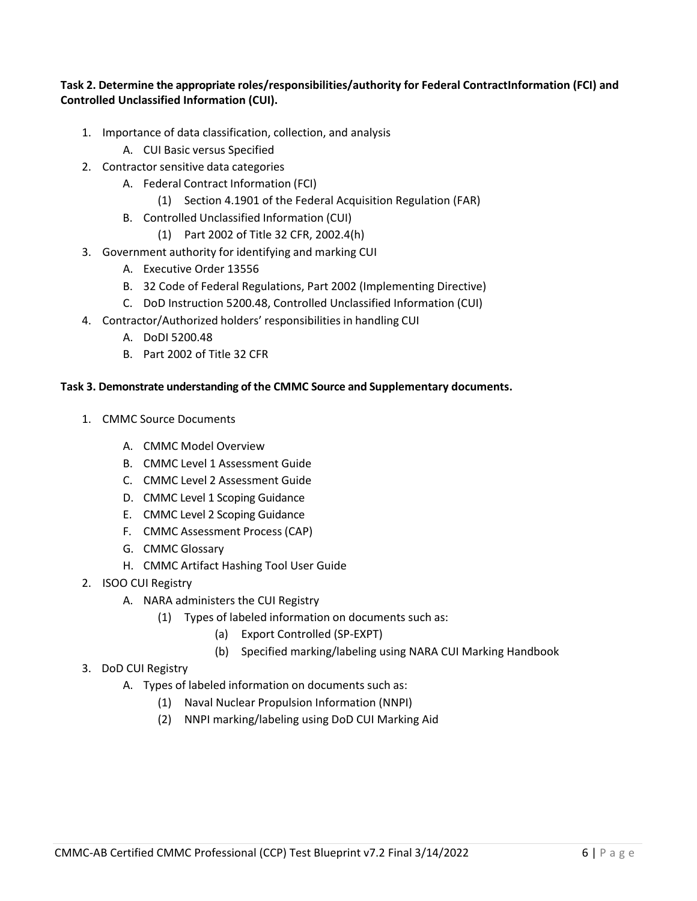#### **Task 2. Determine the appropriate roles/responsibilities/authority for Federal ContractInformation (FCI) and Controlled Unclassified Information (CUI).**

- 1. Importance of data classification, collection, and analysis
	- A. CUI Basic versus Specified
- 2. Contractor sensitive data categories
	- A. Federal Contract Information (FCI)
		- (1) Section 4.1901 of the Federal Acquisition Regulation (FAR)
	- B. Controlled Unclassified Information (CUI)
		- (1) Part 2002 of Title 32 CFR, 2002.4(h)
- 3. Government authority for identifying and marking CUI
	- A. Executive Order 13556
	- B. 32 Code of Federal Regulations, Part 2002 (Implementing Directive)
	- C. DoD Instruction 5200.48, Controlled Unclassified Information (CUI)
- 4. Contractor/Authorized holders' responsibilities in handling CUI
	- A. DoDI 5200.48
	- B. Part 2002 of Title 32 CFR

#### **Task 3. Demonstrate understanding of the CMMC Source and Supplementary documents.**

- 1. CMMC Source Documents
	- A. CMMC Model Overview
	- B. CMMC Level 1 Assessment Guide
	- C. CMMC Level 2 Assessment Guide
	- D. CMMC Level 1 Scoping Guidance
	- E. CMMC Level 2 Scoping Guidance
	- F. CMMC Assessment Process (CAP)
	- G. CMMC Glossary
	- H. CMMC Artifact Hashing Tool User Guide
- 2. ISOO CUI Registry
	- A. NARA administers the CUI Registry
		- (1) Types of labeled information on documents such as:
			- (a) Export Controlled (SP-EXPT)
			- (b) Specified marking/labeling using NARA CUI Marking Handbook
- 3. DoD CUI Registry
	- A. Types of labeled information on documents such as:
		- (1) Naval Nuclear Propulsion Information (NNPI)
		- (2) NNPI marking/labeling using DoD CUI Marking Aid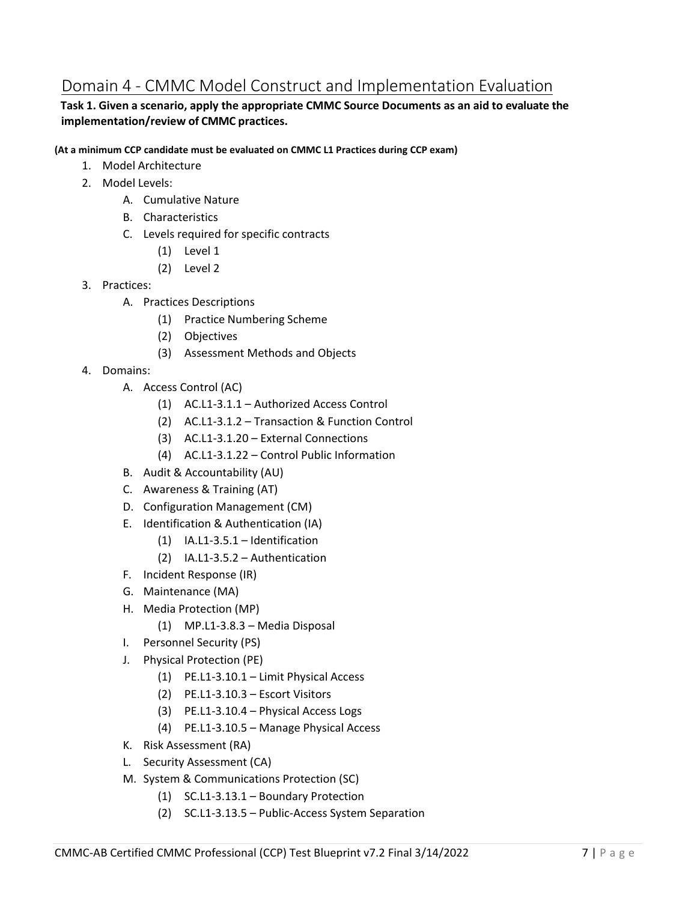# Domain 4 - CMMC Model Construct and Implementation Evaluation

#### **Task 1. Given a scenario, apply the appropriate CMMC Source Documents as an aid to evaluate the implementation/review of CMMC practices.**

**(At a minimum CCP candidate must be evaluated on CMMC L1 Practices during CCP exam)** 

- 1. Model Architecture
- 2. Model Levels:
	- A. Cumulative Nature
	- B. Characteristics
	- C. Levels required for specific contracts
		- (1) Level 1
		- (2) Level 2
- 3. Practices:
	- A. Practices Descriptions
		- (1) Practice Numbering Scheme
		- (2) Objectives
		- (3) Assessment Methods and Objects
- 4. Domains:
	- A. Access Control (AC)
		- (1) AC.L1-3.1.1 Authorized Access Control
		- (2) AC.L1-3.1.2 Transaction & Function Control
		- (3) AC.L1-3.1.20 External Connections
		- (4) AC.L1-3.1.22 Control Public Information
	- B. Audit & Accountability (AU)
	- C. Awareness & Training (AT)
	- D. Configuration Management (CM)
	- E. Identification & Authentication (IA)
		- (1) IA.L1-3.5.1 Identification
		- (2) IA.L1-3.5.2 Authentication
	- F. Incident Response (IR)
	- G. Maintenance (MA)
	- H. Media Protection (MP)
		- (1) MP.L1-3.8.3 Media Disposal
	- I. Personnel Security (PS)
	- J. Physical Protection (PE)
		- (1) PE.L1-3.10.1 Limit Physical Access
		- (2) PE.L1-3.10.3 Escort Visitors
		- (3) PE.L1-3.10.4 Physical Access Logs
		- (4) PE.L1-3.10.5 Manage Physical Access
	- K. Risk Assessment (RA)
	- L. Security Assessment (CA)
	- M. System & Communications Protection (SC)
		- (1) SC.L1-3.13.1 Boundary Protection
		- (2) SC.L1-3.13.5 Public-Access System Separation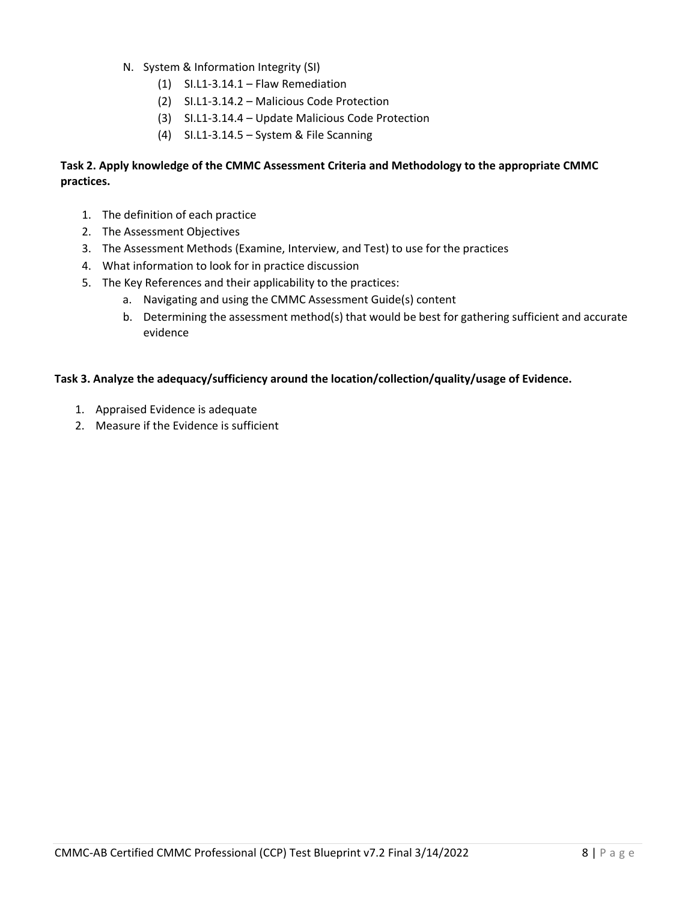- N. System & Information Integrity (SI)
	- (1) SI.L1-3.14.1 Flaw Remediation
	- (2) SI.L1-3.14.2 Malicious Code Protection
	- (3) SI.L1-3.14.4 Update Malicious Code Protection
	- (4) SI.L1-3.14.5 System & File Scanning

#### **Task 2. Apply knowledge of the CMMC Assessment Criteria and Methodology to the appropriate CMMC practices.**

- 1. The definition of each practice
- 2. The Assessment Objectives
- 3. The Assessment Methods (Examine, Interview, and Test) to use for the practices
- 4. What information to look for in practice discussion
- 5. The Key References and their applicability to the practices:
	- a. Navigating and using the CMMC Assessment Guide(s) content
	- b. Determining the assessment method(s) that would be best for gathering sufficient and accurate evidence

#### **Task 3. Analyze the adequacy/sufficiency around the location/collection/quality/usage of Evidence.**

- 1. Appraised Evidence is adequate
- 2. Measure if the Evidence is sufficient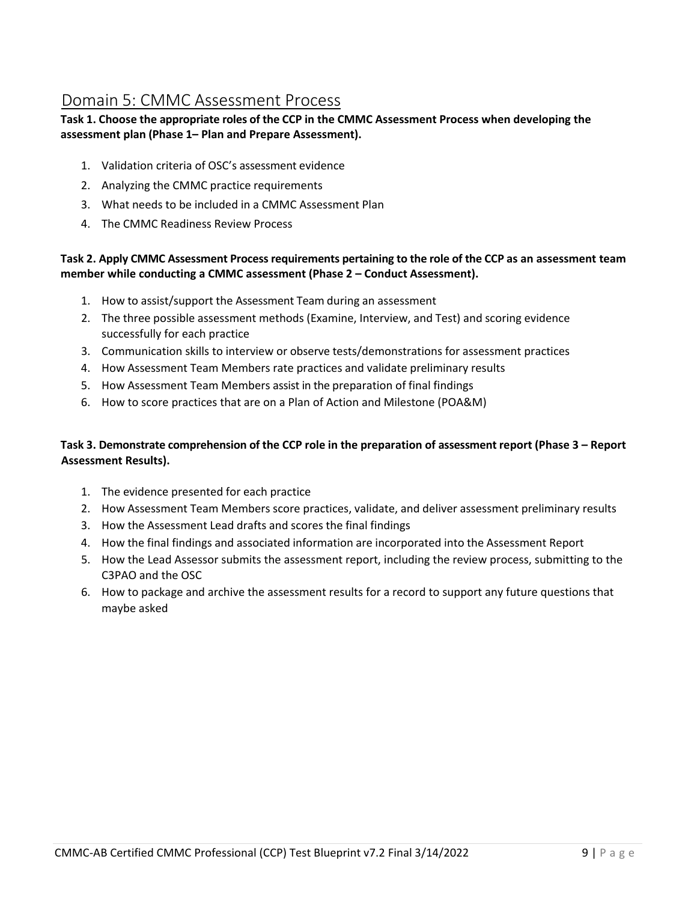### Domain 5: CMMC Assessment Process

#### **Task 1. Choose the appropriate roles of the CCP in the CMMC Assessment Process when developing the assessment plan (Phase 1– Plan and Prepare Assessment).**

- 1. Validation criteria of OSC's assessment evidence
- 2. Analyzing the CMMC practice requirements
- 3. What needs to be included in a CMMC Assessment Plan
- 4. The CMMC Readiness Review Process

#### **Task 2. Apply CMMC Assessment Process requirements pertaining to the role of the CCP as an assessment team member while conducting a CMMC assessment (Phase 2 – Conduct Assessment).**

- 1. How to assist/support the Assessment Team during an assessment
- 2. The three possible assessment methods (Examine, Interview, and Test) and scoring evidence successfully for each practice
- 3. Communication skills to interview or observe tests/demonstrations for assessment practices
- 4. How Assessment Team Members rate practices and validate preliminary results
- 5. How Assessment Team Members assist in the preparation of final findings
- 6. How to score practices that are on a Plan of Action and Milestone (POA&M)

#### **Task 3. Demonstrate comprehension of the CCP role in the preparation of assessment report (Phase 3 – Report Assessment Results).**

- 1. The evidence presented for each practice
- 2. How Assessment Team Members score practices, validate, and deliver assessment preliminary results
- 3. How the Assessment Lead drafts and scores the final findings
- 4. How the final findings and associated information are incorporated into the Assessment Report
- 5. How the Lead Assessor submits the assessment report, including the review process, submitting to the C3PAO and the OSC
- 6. How to package and archive the assessment results for a record to support any future questions that maybe asked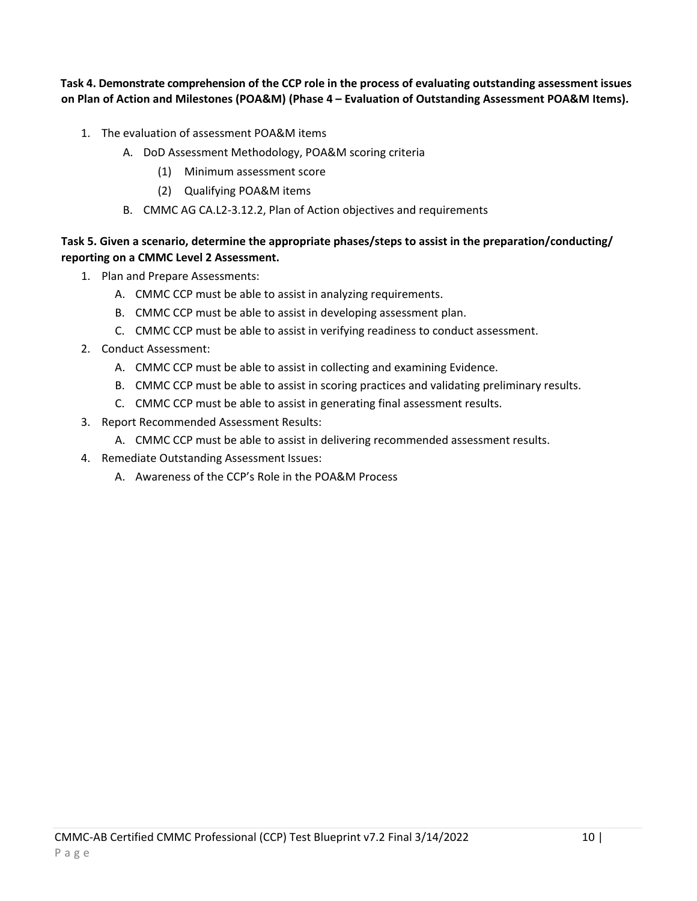**Task 4. Demonstrate comprehension of the CCP role in the process of evaluating outstanding assessment issues on Plan of Action and Milestones (POA&M) (Phase 4 – Evaluation of Outstanding Assessment POA&M Items).**

- 1. The evaluation of assessment POA&M items
	- A. DoD Assessment Methodology, POA&M scoring criteria
		- (1) Minimum assessment score
		- (2) Qualifying POA&M items
	- B. CMMC AG CA.L2-3.12.2, Plan of Action objectives and requirements

#### **Task 5. Given a scenario, determine the appropriate phases/steps to assist in the preparation/conducting/ reporting on a CMMC Level 2 Assessment.**

- 1. Plan and Prepare Assessments:
	- A. CMMC CCP must be able to assist in analyzing requirements.
	- B. CMMC CCP must be able to assist in developing assessment plan.
	- C. CMMC CCP must be able to assist in verifying readiness to conduct assessment.
- 2. Conduct Assessment:
	- A. CMMC CCP must be able to assist in collecting and examining Evidence.
	- B. CMMC CCP must be able to assist in scoring practices and validating preliminary results.
	- C. CMMC CCP must be able to assist in generating final assessment results.
- 3. Report Recommended Assessment Results:
	- A. CMMC CCP must be able to assist in delivering recommended assessment results.
- 4. Remediate Outstanding Assessment Issues:
	- A. Awareness of the CCP's Role in the POA&M Process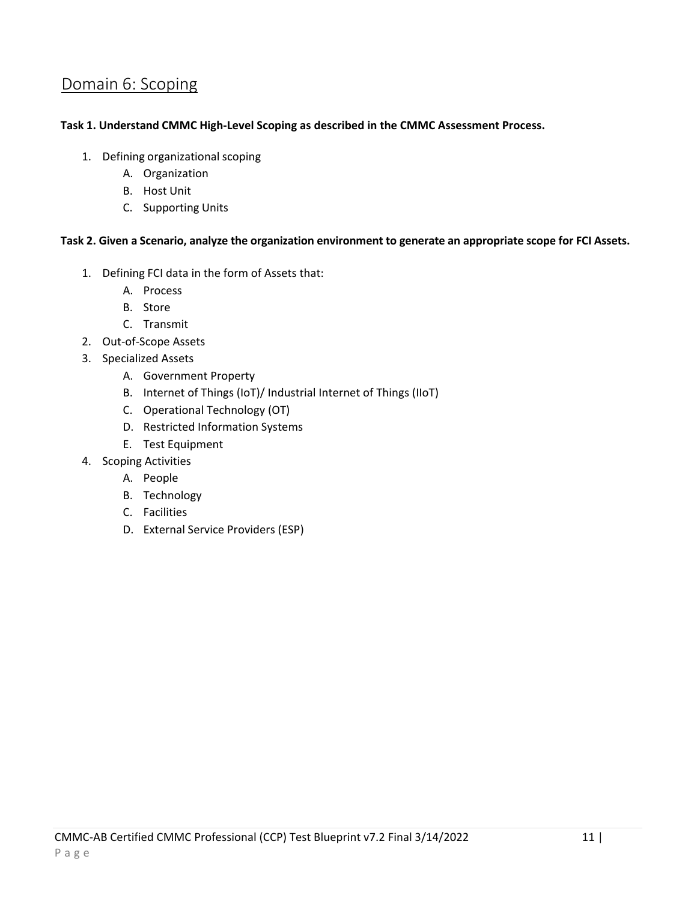## Domain 6: Scoping

#### **Task 1. Understand CMMC High-Level Scoping as described in the CMMC Assessment Process.**

- 1. Defining organizational scoping
	- A. Organization
	- B. Host Unit
	- C. Supporting Units

#### **Task 2. Given a Scenario, analyze the organization environment to generate an appropriate scope for FCI Assets.**

- 1. Defining FCI data in the form of Assets that:
	- A. Process
	- B. Store
	- C. Transmit
- 2. Out-of-Scope Assets
- 3. Specialized Assets
	- A. Government Property
	- B. Internet of Things (IoT)/ Industrial Internet of Things (IIoT)
	- C. Operational Technology (OT)
	- D. Restricted Information Systems
	- E. Test Equipment
- 4. Scoping Activities
	- A. People
	- B. Technology
	- C. Facilities
	- D. External Service Providers (ESP)